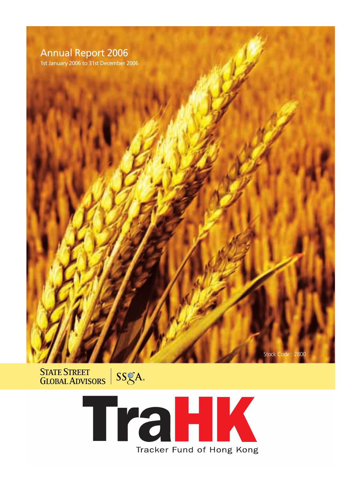# **Annual Report 2006**

1st January 2006 to 31st December 2006



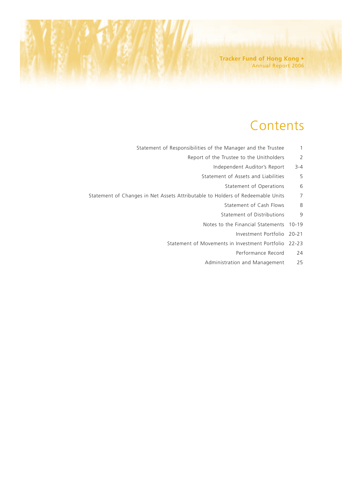**Tracker Fund of Hong Kong •** Annual Report 2006

# **Contents**

- Statement of Responsibilities of the Manager and the Trustee 1
	- Report of the Trustee to the Unitholders 2
		- Independent Auditor's Report 3-4
		- Statement of Assets and Liabilities 5
			- Statement of Operations 6
- Statement of Changes in Net Assets Attributable to Holders of Redeemable Units 7
	- Statement of Cash Flows 8
	- Statement of Distributions 9
	- Notes to the Financial Statements 10-19
		- Investment Portfolio 20-21
	- Statement of Movements in Investment Portfolio 22-23
		- Performance Record 24
		- Administration and Management 25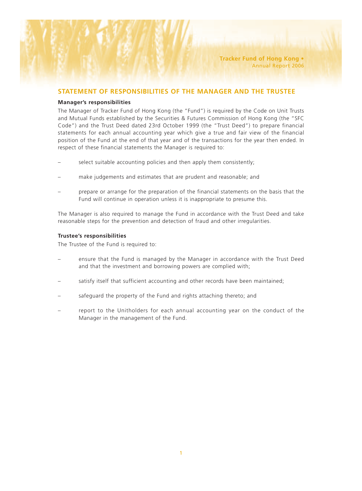## **STATEMENT OF RESPONSIBILITIES OF THE MANAGER AND THE TRUSTEE**

#### **Manager's responsibilities**

The Manager of Tracker Fund of Hong Kong (the "Fund") is required by the Code on Unit Trusts and Mutual Funds established by the Securities & Futures Commission of Hong Kong (the "SFC Code") and the Trust Deed dated 23rd October 1999 (the "Trust Deed") to prepare financial statements for each annual accounting year which give a true and fair view of the financial position of the Fund at the end of that year and of the transactions for the year then ended. In respect of these financial statements the Manager is required to:

- select suitable accounting policies and then apply them consistently;
- make judgements and estimates that are prudent and reasonable; and
- prepare or arrange for the preparation of the financial statements on the basis that the Fund will continue in operation unless it is inappropriate to presume this.

The Manager is also required to manage the Fund in accordance with the Trust Deed and take reasonable steps for the prevention and detection of fraud and other irregularities.

### **Trustee's responsibilities**

The Trustee of the Fund is required to:

- ensure that the Fund is managed by the Manager in accordance with the Trust Deed and that the investment and borrowing powers are complied with;
- satisfy itself that sufficient accounting and other records have been maintained;
- safeguard the property of the Fund and rights attaching thereto; and
- report to the Unitholders for each annual accounting year on the conduct of the Manager in the management of the Fund.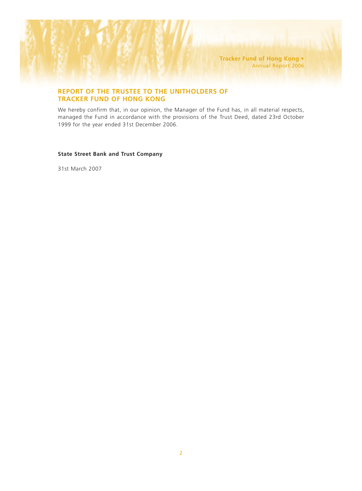**Tracker Fund of Hong Kong •** Annual Report 2006

## **REPORT OF THE TRUSTEE TO THE UNITHOLDERS OF TRACKER FUND OF HONG KONG**

We hereby confirm that, in our opinion, the Manager of the Fund has, in all material respects, managed the Fund in accordance with the provisions of the Trust Deed, dated 23rd October 1999 for the year ended 31st December 2006.

### **State Street Bank and Trust Company**

31st March 2007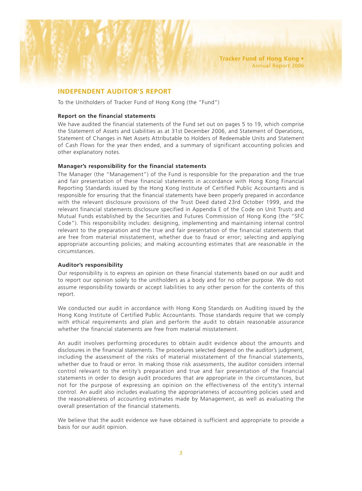## **INDEPENDENT AUDITOR'S REPORT**

To the Unitholders of Tracker Fund of Hong Kong (the "Fund")

#### **Report on the financial statements**

We have audited the financial statements of the Fund set out on pages 5 to 19, which comprise the Statement of Assets and Liabilities as at 31st December 2006, and Statement of Operations, Statement of Changes in Net Assets Attributable to Holders of Redeemable Units and Statement of Cash Flows for the year then ended, and a summary of significant accounting policies and other explanatory notes.

### **Manager's responsibility for the financial statements**

The Manager (the "Management") of the Fund is responsible for the preparation and the true and fair presentation of these financial statements in accordance with Hong Kong Financial Reporting Standards issued by the Hong Kong Institute of Certified Public Accountants and is responsible for ensuring that the financial statements have been properly prepared in accordance with the relevant disclosure provisions of the Trust Deed dated 23rd October 1999, and the relevant financial statements disclosure specified in Appendix E of the Code on Unit Trusts and Mutual Funds established by the Securities and Futures Commission of Hong Kong (the "SFC Code"). This responsibility includes: designing, implementing and maintaining internal control relevant to the preparation and the true and fair presentation of the financial statements that are free from material misstatement, whether due to fraud or error; selecting and applying appropriate accounting policies; and making accounting estimates that are reasonable in the circumstances.

### **Auditor's responsibility**

Our responsibility is to express an opinion on these financial statements based on our audit and to report our opinion solely to the unitholders as a body and for no other purpose. We do not assume responsibility towards or accept liabilities to any other person for the contents of this report.

We conducted our audit in accordance with Hong Kong Standards on Auditing issued by the Hong Kong Institute of Certified Public Accountants. Those standards require that we comply with ethical requirements and plan and perform the audit to obtain reasonable assurance whether the financial statements are free from material misstatement.

An audit involves performing procedures to obtain audit evidence about the amounts and disclosures in the financial statements. The procedures selected depend on the auditor's judgment, including the assessment of the risks of material misstatement of the financial statements, whether due to fraud or error. In making those risk assessments, the auditor considers internal control relevant to the entity's preparation and true and fair presentation of the financial statements in order to design audit procedures that are appropriate in the circumstances, but not for the purpose of expressing an opinion on the effectiveness of the entity's internal control. An audit also includes evaluating the appropriateness of accounting policies used and the reasonableness of accounting estimates made by Management, as well as evaluating the overall presentation of the financial statements.

We believe that the audit evidence we have obtained is sufficient and appropriate to provide a basis for our audit opinion.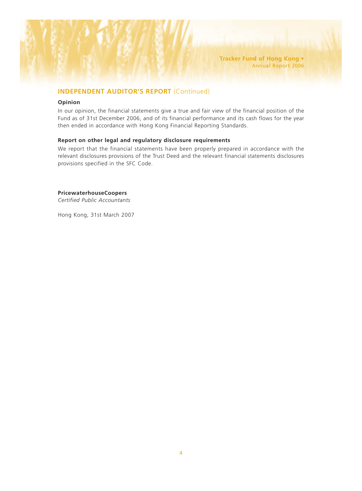## **INDEPENDENT AUDITOR'S REPORT** (Continued)

#### **Opinion**

In our opinion, the financial statements give a true and fair view of the financial position of the Fund as of 31st December 2006, and of its financial performance and its cash flows for the year then ended in accordance with Hong Kong Financial Reporting Standards.

### **Report on other legal and regulatory disclosure requirements**

We report that the financial statements have been properly prepared in accordance with the relevant disclosures provisions of the Trust Deed and the relevant financial statements disclosures provisions specified in the SFC Code.

#### **PricewaterhouseCoopers**

*Certified Public Accountants*

Hong Kong, 31st March 2007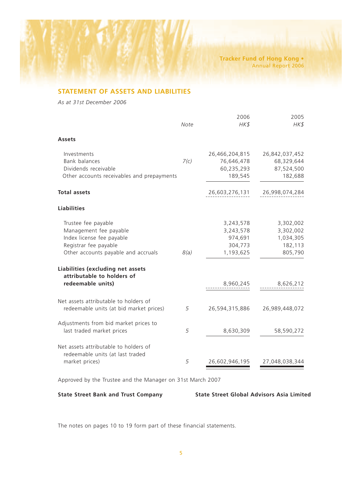**Tracker Fund of Hong Kong •** Annual Report 2006

## **STATEMENT OF ASSETS AND LIABILITIES**

*As at 31st December 2006*

|                                                                                                                                            | Note | 2006<br>HK\$                                              | 2005<br>HK\$                                              |
|--------------------------------------------------------------------------------------------------------------------------------------------|------|-----------------------------------------------------------|-----------------------------------------------------------|
| <b>Assets</b>                                                                                                                              |      |                                                           |                                                           |
| Investments<br>Bank balances<br>Dividends receivable<br>Other accounts receivables and prepayments                                         | 7(c) | 26,466,204,815<br>76,646,478<br>60,235,293<br>189,545     | 26,842,037,452<br>68,329,644<br>87,524,500<br>182,688     |
| <b>Total assets</b>                                                                                                                        |      | 26,603,276,131                                            | 26,998,074,284                                            |
| <b>Liabilities</b>                                                                                                                         |      |                                                           |                                                           |
| Trustee fee payable<br>Management fee payable<br>Index license fee payable<br>Registrar fee payable<br>Other accounts payable and accruals | 8(a) | 3,243,578<br>3,243,578<br>974,691<br>304,773<br>1,193,625 | 3,302,002<br>3,302,002<br>1,034,305<br>182,113<br>805,790 |
| Liabilities (excluding net assets<br>attributable to holders of<br>redeemable units)                                                       |      | 8,960,245                                                 | 8,626,212                                                 |
| Net assets attributable to holders of<br>redeemable units (at bid market prices)                                                           | 5    | 26,594,315,886                                            | 26,989,448,072                                            |
| Adjustments from bid market prices to<br>last traded market prices                                                                         | 5    | 8,630,309                                                 | 58,590,272                                                |
| Net assets attributable to holders of<br>redeemable units (at last traded<br>market prices)                                                | 5    | 26,602,946,195                                            | 27,048,038,344                                            |

Approved by the Trustee and the Manager on 31st March 2007

**State Street Bank and Trust Company State Street Global Advisors Asia Limited**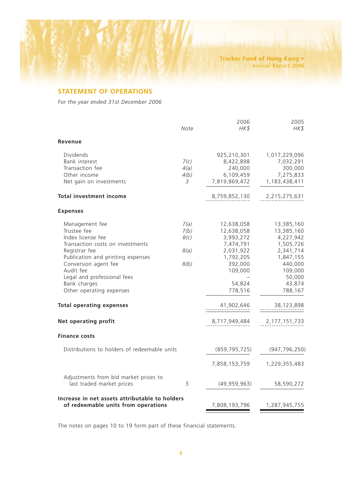## **STATEMENT OF OPERATIONS**

*For the year ended 31st December 2006*

|                                                                                                                                                                                                                                                                                                                         | Note                                 | 2006<br>HK\$                                                                                                                                           | 2005<br>HK\$                                                                                                                                                        |
|-------------------------------------------------------------------------------------------------------------------------------------------------------------------------------------------------------------------------------------------------------------------------------------------------------------------------|--------------------------------------|--------------------------------------------------------------------------------------------------------------------------------------------------------|---------------------------------------------------------------------------------------------------------------------------------------------------------------------|
| Revenue                                                                                                                                                                                                                                                                                                                 |                                      |                                                                                                                                                        |                                                                                                                                                                     |
| Dividends<br>Bank interest<br>Transaction fee<br>Other income<br>Net gain on investments                                                                                                                                                                                                                                | 7(c)<br>4(a)<br>4(b)<br>3            | 925,210,301<br>8,422,898<br>240,000<br>6,109,459<br>7,819,869,472                                                                                      | 1,017,229,096<br>7,032,291<br>300,000<br>7,275,833<br>1,183,438,411                                                                                                 |
| <b>Total investment income</b>                                                                                                                                                                                                                                                                                          |                                      | 8,759,852,130                                                                                                                                          | 2,215,275,631                                                                                                                                                       |
| <b>Expenses</b>                                                                                                                                                                                                                                                                                                         |                                      |                                                                                                                                                        |                                                                                                                                                                     |
| Management fee<br>Trustee fee<br>Index license fee<br>Transaction costs on investments<br>Registrar fee<br>Publication and printing expenses<br>Conversion agent fee<br>Audit fee<br>Legal and professional fees<br>Bank charges<br>Other operating expenses<br><b>Total operating expenses</b><br>Net operating profit | 7(a)<br>7(b)<br>8(c)<br>8(a)<br>8(b) | 12,638,058<br>12,638,058<br>3,993,272<br>7,474,791<br>2,031,922<br>1,792,205<br>392,000<br>109,000<br>54,824<br>778,516<br>41,902,646<br>8,717,949,484 | 13,385,160<br>13,385,160<br>4,227,942<br>1,505,726<br>2,341,714<br>1,847,155<br>440,000<br>109,000<br>50,000<br>43,874<br>788,167<br>38,123,898<br>2, 177, 151, 733 |
| <b>Finance costs</b>                                                                                                                                                                                                                                                                                                    |                                      |                                                                                                                                                        |                                                                                                                                                                     |
| Distributions to holders of redeemable units                                                                                                                                                                                                                                                                            |                                      | (859, 795, 725)<br>7,858,153,759                                                                                                                       | (947, 796, 250)<br>1,229,355,483                                                                                                                                    |
| Adjustments from bid market prices to<br>last traded market prices                                                                                                                                                                                                                                                      | 5                                    | (49, 959, 963)                                                                                                                                         | 58,590,272                                                                                                                                                          |
| Increase in net assets attributable to holders<br>of redeemable units from operations                                                                                                                                                                                                                                   |                                      | 7,808,193,796                                                                                                                                          | 1,287,945,755                                                                                                                                                       |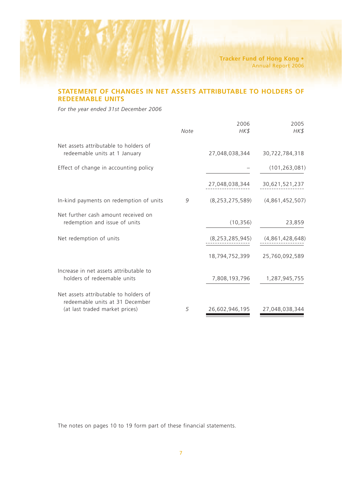**Tracker Fund of Hong Kong •** Annual Report 2006

## **STATEMENT OF CHANGES IN NET ASSETS ATTRIBUTABLE TO HOLDERS OF REDEEMABLE UNITS**

*For the year ended 31st December 2006*

|                                                                                                            | Note | 2006<br>HK\$       | 2005<br>HK\$    |
|------------------------------------------------------------------------------------------------------------|------|--------------------|-----------------|
| Net assets attributable to holders of<br>redeemable units at 1 January                                     |      | 27,048,038,344     | 30,722,784,318  |
| Effect of change in accounting policy                                                                      |      |                    | (101, 263, 081) |
|                                                                                                            |      | 27,048,038,344     | 30,621,521,237  |
| In-kind payments on redemption of units                                                                    | 9    | (8, 253, 275, 589) | (4,861,452,507) |
| Net further cash amount received on<br>redemption and issue of units                                       |      | (10, 356)          | 23,859          |
| Net redemption of units                                                                                    |      | (8, 253, 285, 945) | (4,861,428,648) |
|                                                                                                            |      | 18,794,752,399     | 25,760,092,589  |
| Increase in net assets attributable to<br>holders of redeemable units                                      |      | 7,808,193,796      | 1,287,945,755   |
| Net assets attributable to holders of<br>redeemable units at 31 December<br>(at last traded market prices) | 5    | 26,602,946,195     | 27,048,038,344  |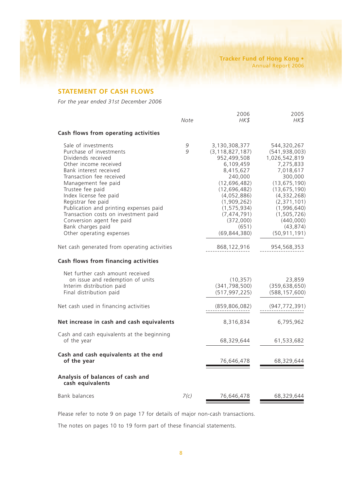## **STATEMENT OF CASH FLOWS**

*For the year ended 31st December 2006*

|                                                                                                                                                                                                                                                                                                                                                                                                                | Note   | 2006<br>HK\$                                                                                                                                                                                                                        | 2005<br>HK\$                                                                                                                                                                                                                         |
|----------------------------------------------------------------------------------------------------------------------------------------------------------------------------------------------------------------------------------------------------------------------------------------------------------------------------------------------------------------------------------------------------------------|--------|-------------------------------------------------------------------------------------------------------------------------------------------------------------------------------------------------------------------------------------|--------------------------------------------------------------------------------------------------------------------------------------------------------------------------------------------------------------------------------------|
| Cash flows from operating activities                                                                                                                                                                                                                                                                                                                                                                           |        |                                                                                                                                                                                                                                     |                                                                                                                                                                                                                                      |
| Sale of investments<br>Purchase of investments<br>Dividends received<br>Other income received<br>Bank interest received<br>Transaction fee received<br>Management fee paid<br>Trustee fee paid<br>Index license fee paid<br>Registrar fee paid<br>Publication and printing expenses paid<br>Transaction costs on investment paid<br>Conversion agent fee paid<br>Bank charges paid<br>Other operating expenses | 9<br>9 | 3,130,308,377<br>(3, 118, 827, 187)<br>952,499,508<br>6,109,459<br>8,415,627<br>240,000<br>(12, 696, 482)<br>(12, 696, 482)<br>(4,052,886)<br>(1,909,262)<br>(1, 575, 934)<br>(7, 474, 791)<br>(372,000)<br>(651)<br>(69, 844, 380) | 544,320,267<br>(541, 938, 003)<br>1,026,542,819<br>7,275,833<br>7,018,617<br>300,000<br>(13, 675, 190)<br>(13, 675, 190)<br>(4,332,268)<br>(2, 371, 101)<br>(1,996,640)<br>(1, 505, 726)<br>(440,000)<br>(43, 874)<br>(50, 911, 191) |
| Net cash generated from operating activities                                                                                                                                                                                                                                                                                                                                                                   |        | 868,122,916                                                                                                                                                                                                                         | 954,568,353                                                                                                                                                                                                                          |
| Cash flows from financing activities                                                                                                                                                                                                                                                                                                                                                                           |        |                                                                                                                                                                                                                                     |                                                                                                                                                                                                                                      |
| Net further cash amount received<br>on issue and redemption of units<br>Interim distribution paid<br>Final distribution paid                                                                                                                                                                                                                                                                                   |        | (10, 357)<br>(341, 798, 500)<br>(517, 997, 225)                                                                                                                                                                                     | 23,859<br>(359, 638, 650)<br>(588, 157, 600)                                                                                                                                                                                         |
| Net cash used in financing activities                                                                                                                                                                                                                                                                                                                                                                          |        | (859, 806, 082)                                                                                                                                                                                                                     | (947, 772, 391)                                                                                                                                                                                                                      |
| Net increase in cash and cash equivalents                                                                                                                                                                                                                                                                                                                                                                      |        | 8,316,834                                                                                                                                                                                                                           | 6,795,962                                                                                                                                                                                                                            |
| Cash and cash equivalents at the beginning<br>of the year                                                                                                                                                                                                                                                                                                                                                      |        | 68,329,644                                                                                                                                                                                                                          | 61,533,682                                                                                                                                                                                                                           |
| Cash and cash equivalents at the end<br>of the year                                                                                                                                                                                                                                                                                                                                                            |        | 76,646,478                                                                                                                                                                                                                          | 68,329,644                                                                                                                                                                                                                           |
| Analysis of balances of cash and<br>cash equivalents                                                                                                                                                                                                                                                                                                                                                           |        |                                                                                                                                                                                                                                     |                                                                                                                                                                                                                                      |
| Bank balances                                                                                                                                                                                                                                                                                                                                                                                                  | 7(c)   | 76,646,478                                                                                                                                                                                                                          | 68,329,644                                                                                                                                                                                                                           |
|                                                                                                                                                                                                                                                                                                                                                                                                                |        |                                                                                                                                                                                                                                     |                                                                                                                                                                                                                                      |

Please refer to note 9 on page 17 for details of major non-cash transactions.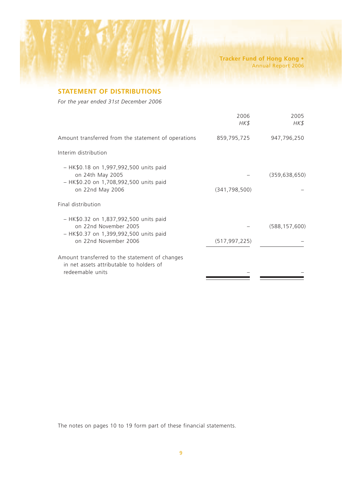## **STATEMENT OF DISTRIBUTIONS**

*For the year ended 31st December 2006*

|                                                                                                                                        | 2006<br>HK\$    | 2005<br>HK\$    |
|----------------------------------------------------------------------------------------------------------------------------------------|-----------------|-----------------|
| Amount transferred from the statement of operations                                                                                    | 859,795,725     | 947,796,250     |
| Interim distribution                                                                                                                   |                 |                 |
| - HK\$0.18 on 1,997,992,500 units paid<br>on 24th May 2005<br>- HK\$0.20 on 1,708,992,500 units paid<br>on 22nd May 2006               | (341, 798, 500) | (359, 638, 650) |
| Final distribution                                                                                                                     |                 |                 |
| $-$ HK\$0.32 on 1,837,992,500 units paid<br>on 22nd November 2005<br>$-$ HK\$0.37 on 1,399,992,500 units paid<br>on 22nd November 2006 | (517, 997, 225) | (588, 157, 600) |
| Amount transferred to the statement of changes<br>in net assets attributable to holders of<br>redeemable units                         |                 |                 |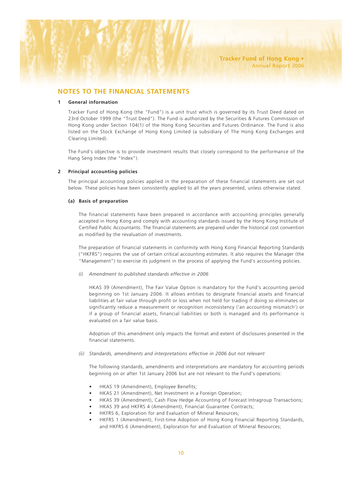## **NOTES TO THE FINANCIAL STATEMENTS**

#### **1 General information**

Tracker Fund of Hong Kong (the "Fund") is a unit trust which is governed by its Trust Deed dated on 23rd October 1999 (the "Trust Deed"). The Fund is authorized by the Securities & Futures Commission of Hong Kong under Section 104(1) of the Hong Kong Securities and Futures Ordinance. The Fund is also listed on the Stock Exchange of Hong Kong Limited (a subsidiary of The Hong Kong Exchanges and Clearing Limited).

The Fund's objective is to provide investment results that closely correspond to the performance of the Hang Seng Index (the "Index").

#### **2 Principal accounting policies**

The principal accounting policies applied in the preparation of these financial statements are set out below. These policies have been consistently applied to all the years presented, unless otherwise stated.

#### **(a) Basis of preparation**

The financial statements have been prepared in accordance with accounting principles generally accepted in Hong Kong and comply with accounting standards issued by the Hong Kong Institute of Certified Public Accountants. The financial statements are prepared under the historical cost convention as modified by the revaluation of investments.

The preparation of financial statements in conformity with Hong Kong Financial Reporting Standards ("HKFRS") requires the use of certain critical accounting estimates. It also requires the Manager (the "Management") to exercise its judgment in the process of applying the Fund's accounting policies.

*(i) Amendment to published standards effective in 2006*

HKAS 39 (Amendment), The Fair Value Option is mandatory for the Fund's accounting period beginning on 1st January 2006. It allows entities to designate financial assets and financial liabilities at fair value through profit or loss when not held for trading if doing so eliminates or significantly reduce a measurement or recognition inconsistency ('an accounting mismatch') or if a group of financial assets, financial liabilities or both is managed and its performance is evaluated on a fair value basis.

Adoption of this amendment only impacts the format and extent of disclosures presented in the financial statements.

*(ii) Standards, amendments and interpretations effective in 2006 but not relevant*

The following standards, amendments and interpretations are mandatory for accounting periods beginning on or after 1st January 2006 but are not relevant to the Fund's operations:

- HKAS 19 (Amendment), Employee Benefits;
- HKAS 21 (Amendment), Net Investment in a Foreign Operation;
- HKAS 39 (Amendment), Cash Flow Hedge Accounting of Forecast Intragroup Transactions;
- HKAS 39 and HKFRS 4 (Amendment), Financial Guarantee Contracts;
- HKFRS 6, Exploration for and Evaluation of Mineral Resources;
- HKFRS 1 (Amendment), First-time Adoption of Hong Kong Financial Reporting Standards, and HKFRS 6 (Amendment), Exploration for and Evaluation of Mineral Resources;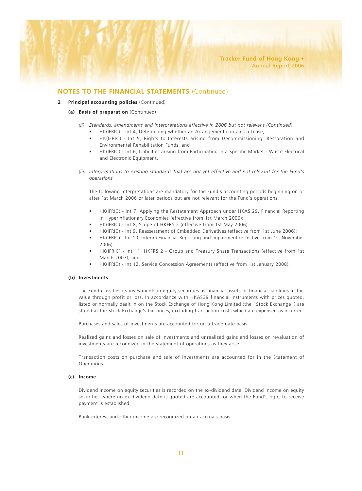#### **2 Principal accounting policies** (Continued)

#### **(a) Basis of preparation** (Continued)

- *(ii) Standards, amendments and interpretations effective in 2006 but not relevant (Continued)*
	- HK(IFRIC) Int 4, Determining whether an Arrangement contains a Lease;
	- HK(IFRIC) Int 5, Rights to Interests arising from Decommissioning, Restoration and Environmental Rehabilitation Funds; and
	- HK(IFRIC) Int 6, Liabilities arising from Participating in a Specific Market Waste Electrical and Electronic Equipment.
- *(iii) Interpretations to existing standards that are not yet effective and not relevant for the Fund's operations*

The following interpretations are mandatory for the Fund's accounting periods beginning on or after 1st March 2006 or later periods but are not relevant for the Fund's operations:

- HK(IFRIC) Int 7, Applying the Restatement Approach under HKAS 29, Financial Reporting in Hyperinflationary Economies (effective from 1st March 2006);
- HK(IFRIC) Int 8, Scope of HKFRS 2 (effective from 1st May 2006);
- HK(IFRIC) Int 9, Reassessment of Embedded Derivatives (effective from 1st June 2006);
- HK(IFRIC) Int 10, Interim Financial Reporting and Impairment (effective from 1st November 2006);
- HK(IFRIC) Int 11, HKFRS 2 Group and Treasury Share Transactions (effective from 1st March 2007); and
- HK(IFRIC) Int 12, Service Concession Agreements (effective from 1st January 2008).

#### **(b) Investments**

The Fund classifies its investments in equity securities as financial assets or financial liabilities at fair value through profit or loss. In accordance with HKAS39 financial instruments with prices quoted, listed or normally dealt in on the Stock Exchange of Hong Kong Limited (the "Stock Exchange") are stated at the Stock Exchange's bid prices, excluding transaction costs which are expensed as incurred.

Purchases and sales of investments are accounted for on a trade date basis.

Realized gains and losses on sale of investments and unrealized gains and losses on revaluation of investments are recognized in the statement of operations as they arise.

Transaction costs on purchase and sale of investments are accounted for in the Statement of Operations.

#### **(c) Income**

Dividend income on equity securities is recorded on the ex-dividend date. Dividend income on equity securities where no ex-dividend date is quoted are accounted for when the Fund's right to receive payment is established.

Bank interest and other income are recognized on an accruals basis.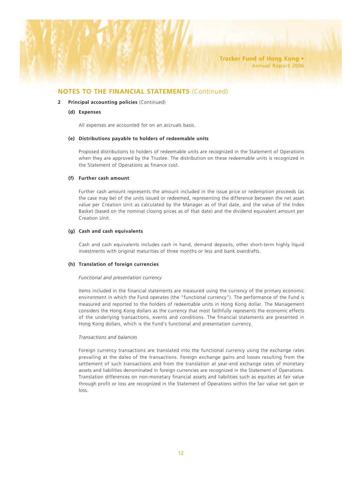#### **2 Principal accounting policies** (Continued)

#### **(d) Expenses**

All expenses are accounted for on an accruals basis.

#### **(e) Distributions payable to holders of redeemable units**

Proposed distributions to holders of redeemable units are recognized in the Statement of Operations when they are approved by the Trustee. The distribution on these redeemable units is recognized in the Statement of Operations as finance cost.

#### **(f) Further cash amount**

Further cash amount represents the amount included in the issue price or redemption proceeds (as the case may be) of the units issued or redeemed, representing the difference between the net asset value per Creation Unit as calculated by the Manager as of that date, and the value of the Index Basket (based on the nominal closing prices as of that date) and the dividend equivalent amount per Creation Unit.

#### **(g) Cash and cash equivalents**

Cash and cash equivalents includes cash in hand, demand deposits, other short-term highly liquid investments with original maturities of three months or less and bank overdrafts.

#### **(h) Translation of foreign currencies**

#### *Functional and presentation currency*

Items included in the financial statements are measured using the currency of the primary economic environment in which the Fund operates (the "functional currency"). The performance of the Fund is measured and reported to the holders of redeemable units in Hong Kong dollar. The Management considers the Hong Kong dollars as the currency that most faithfully represents the economic effects of the underlying transactions, events and conditions. The financial statements are presented in Hong Kong dollars, which is the Fund's functional and presentation currency.

#### *Transactions and balances*

Foreign currency transactions are translated into the functional currency using the exchange rates prevailing at the dates of the transactions. Foreign exchange gains and losses resulting from the settlement of such transactions and from the translation at year-end exchange rates of monetary assets and liabilities denominated in foreign currencies are recognized in the Statement of Operations. Translation differences on non-monetary financial assets and liabilities such as equities at fair value through profit or loss are recognized in the Statement of Operations within the fair value net gain or loss.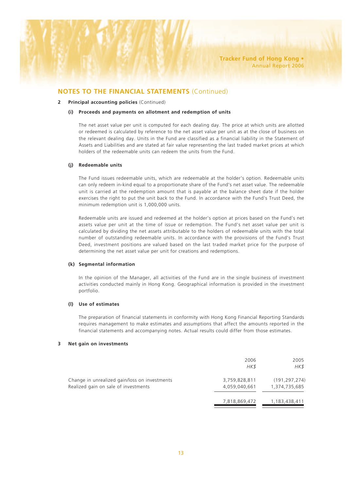#### **2 Principal accounting policies** (Continued)

#### **(i) Proceeds and payments on allotment and redemption of units**

The net asset value per unit is computed for each dealing day. The price at which units are allotted or redeemed is calculated by reference to the net asset value per unit as at the close of business on the relevant dealing day. Units in the Fund are classified as a financial liability in the Statement of Assets and Liabilities and are stated at fair value representing the last traded market prices at which holders of the redeemable units can redeem the units from the Fund.

#### **(j) Redeemable units**

The Fund issues redeemable units, which are redeemable at the holder's option. Redeemable units can only redeem in-kind equal to a proportionate share of the Fund's net asset value. The redeemable unit is carried at the redemption amount that is payable at the balance sheet date if the holder exercises the right to put the unit back to the Fund. In accordance with the Fund's Trust Deed, the minimum redemption unit is 1,000,000 units.

Redeemable units are issued and redeemed at the holder's option at prices based on the Fund's net assets value per unit at the time of issue or redemption. The Fund's net asset value per unit is calculated by dividing the net assets attributable to the holders of redeemable units with the total number of outstanding redeemable units. In accordance with the provisions of the Fund's Trust Deed, investment positions are valued based on the last traded market price for the purpose of determining the net asset value per unit for creations and redemptions.

#### **(k) Segmental information**

In the opinion of the Manager, all activities of the Fund are in the single business of investment activities conducted mainly in Hong Kong. Geographical information is provided in the investment portfolio.

#### **(l) Use of estimates**

The preparation of financial statements in conformity with Hong Kong Financial Reporting Standards requires management to make estimates and assumptions that affect the amounts reported in the financial statements and accompanying notes. Actual results could differ from those estimates.

#### **3 Net gain on investments**

|                                                                                       | 2006<br>HK\$                   | 2005<br>HK\$                     |
|---------------------------------------------------------------------------------------|--------------------------------|----------------------------------|
| Change in unrealized gain/loss on investments<br>Realized gain on sale of investments | 3,759,828,811<br>4.059.040.661 | (191, 297, 274)<br>1,374,735,685 |
|                                                                                       | 7,818,869,472                  | 1,183,438,411                    |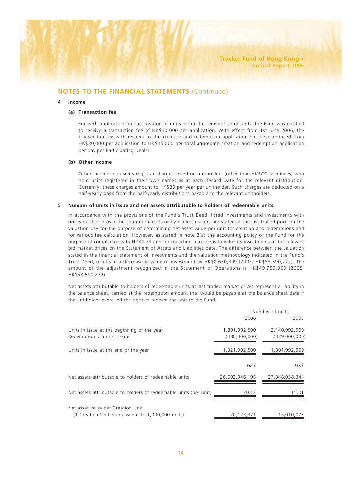#### **4 Income**

#### **(a) Transaction fee**

For each application for the creation of units or for the redemption of units, the Fund was entitled to receive a transaction fee of HK\$30,000 per application. With effect from 1st June 2006, the transaction fee with respect to the creation and redemption application has been reduced from HK\$30,000 per application to HK\$15,000 per total aggregate creation and redemption application per day per Participating Dealer.

#### **(b) Other income**

Other income represents registrar charges levied on unitholders (other than HKSCC Nominees) who hold units registered in their own names as at each Record Date for the relevant distribution. Currently, these charges amount to HK\$80 per year per unitholder. Such charges are deducted on a half-yearly basis from the half-yearly distributions payable to the relevant unitholders.

#### **5 Number of units in issue and net assets attributable to holders of redeemable units**

In accordance with the provisions of the Fund's Trust Deed, listed investments and investments with prices quoted in over the counter markets or by market makers are stated at the last traded price on the valuation day for the purpose of determining net asset value per unit for creation and redemptions and for various fee calculation. However, as stated in note 2(a) the accounting policy of the Fund for the purpose of compliance with HKAS 39 and for reporting purpose is to value its investments at the relevant bid market prices on the Statement of Assets and Liabilities date. The difference between the valuation stated in the financial statement of investments and the valuation methodology indicated in the Fund's Trust Deed, results in a decrease in value of investment by HK\$8,630,309 (2005: HK\$58,590,272). The amount of the adjustment recognized in the Statement of Operations is HK\$49,959,963 (2005: HK\$58,590,272).

Net assets attributable to holders of redeemable units at last traded market prices represent a liability in the balance sheet, carried at the redemption amount that would be payable at the balance sheet date if the unitholder exercised the right to redeem the unit to the Fund.

|                                                                                         |                | Number of units |
|-----------------------------------------------------------------------------------------|----------------|-----------------|
|                                                                                         | 2006           | 2005            |
| Units in issue at the beginning of the year                                             | 1,801,992,500  | 2,140,992,500   |
| Redemption of units in-kind                                                             | (480,000,000)  | (339,000,000)   |
| Units in issue at the end of the year                                                   | 1,321,992,500  | 1,801,992,500   |
|                                                                                         | HK\$           | HK\$            |
| Net assets attributable to holders of redeemable units                                  | 26,602,946,195 | 27,048,038,344  |
| Net assets attributable to holders of redeemable units (per unit)                       | 20.12          | 15.01           |
| Net asset value per Creation Unit<br>(1 Creation Unit is equivalent to 1,000,000 units) | 20,123,371     | 15,010,073      |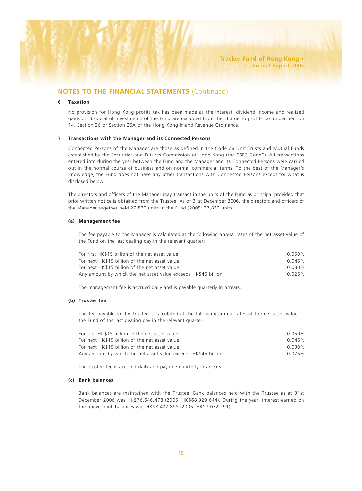#### **6 Taxation**

No provision for Hong Kong profits tax has been made as the interest, dividend income and realized gains on disposal of investments of the Fund are excluded from the charge to profits tax under Section 14, Section 26 or Section 26A of the Hong Kong Inland Revenue Ordinance.

#### **7 Transactions with the Manager and its Connected Persons**

Connected Persons of the Manager are those as defined in the Code on Unit Trusts and Mutual Funds established by the Securities and Futures Commission of Hong Kong (the "SFC Code"). All transactions entered into during the year between the Fund and the Manager and its Connected Persons were carried out in the normal course of business and on normal commercial terms. To the best of the Manager's knowledge, the Fund does not have any other transactions with Connected Persons except for what is disclosed below.

The directors and officers of the Manager may transact in the units of the Fund as principal provided that prior written notice is obtained from the Trustee. As of 31st December 2006, the directors and officers of the Manager together held 27,820 units in the Fund (2005: 27,820 units).

#### **(a) Management fee**

The fee payable to the Manager is calculated at the following annual rates of the net asset value of the Fund on the last dealing day in the relevant quarter:

| For first HK\$15 billion of the net asset value                | $0.050\%$ |
|----------------------------------------------------------------|-----------|
| For next HK\$15 billion of the net asset value                 | 0.045%    |
| For next HK\$15 billion of the net asset value                 | $0.030\%$ |
| Any amount by which the net asset value exceeds HK\$45 billion | 0.025%    |

The management fee is accrued daily and is payable quarterly in arrears.

#### **(b) Trustee fee**

The fee payable to the Trustee is calculated at the following annual rates of the net asset value of the Fund of the last dealing day in the relevant quarter:

| For first HK\$15 billion of the net asset value                | $0.050\%$ |
|----------------------------------------------------------------|-----------|
| For next HK\$15 billion of the net asset value                 | 0.045%    |
| For next HK\$15 billion of the net asset value                 | $0.030\%$ |
| Any amount by which the net asset value exceeds HK\$45 billion | 0.025%    |

The trustee fee is accrued daily and payable quarterly in arrears.

#### **(c) Bank balances**

Bank balances are maintained with the Trustee. Bank balances held with the Trustee as at 31st December 2006 was HK\$76,646,478 (2005: HK\$68,329,644). During the year, interest earned on the above bank balances was HK\$8,422,898 (2005: HK\$7,032,291).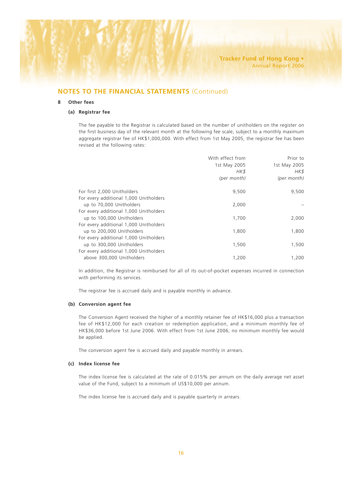#### **8 Other fees**

#### **(a) Registrar fee**

The fee payable to the Registrar is calculated based on the number of unitholders on the register on the first business day of the relevant month at the following fee scale, subject to a monthly maximum aggregate registrar fee of HK\$1,000,000. With effect from 1st May 2005, the registrar fee has been revised at the following rates:

|                                        | With effect from<br>1st May 2005<br>HK\$<br>(per month) | Prior to<br>1st May 2005<br>HK\$<br>(per month) |
|----------------------------------------|---------------------------------------------------------|-------------------------------------------------|
| For first 2,000 Unitholders            | 9,500                                                   | 9,500                                           |
| For every additional 1,000 Unitholders |                                                         |                                                 |
| up to 70,000 Unitholders               | 2,000                                                   |                                                 |
| For every additional 1,000 Unitholders |                                                         |                                                 |
| up to 100,000 Unitholders              | 1,700                                                   | 2,000                                           |
| For every additional 1,000 Unitholders |                                                         |                                                 |
| up to 200,000 Unitholders              | 1,800                                                   | 1,800                                           |
| For every additional 1,000 Unitholders |                                                         |                                                 |
| up to 300,000 Unitholders              | 1,500                                                   | 1,500                                           |
| For every additional 1,000 Unitholders |                                                         |                                                 |
| above 300,000 Unitholders              | 1,200                                                   | 1,200                                           |

In addition, the Registrar is reimbursed for all of its out-of-pocket expenses incurred in connection with performing its services.

The registrar fee is accrued daily and is payable monthly in advance.

#### **(b) Conversion agent fee**

The Conversion Agent received the higher of a monthly retainer fee of HK\$16,000 plus a transaction fee of HK\$12,000 for each creation or redemption application, and a minimum monthly fee of HK\$36,000 before 1st June 2006. With effect from 1st June 2006, no minimum monthly fee would be applied.

The conversion agent fee is accrued daily and payable monthly in arrears.

#### **(c) Index license fee**

The index license fee is calculated at the rate of 0.015% per annum on the daily average net asset value of the Fund, subject to a minimum of US\$10,000 per annum.

The index license fee is accrued daily and is payable quarterly in arrears.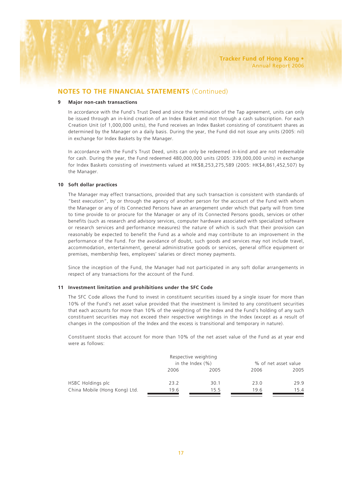#### **9 Major non-cash transactions**

In accordance with the Fund's Trust Deed and since the termination of the Tap agreement, units can only be issued through an in-kind creation of an Index Basket and not through a cash subscription. For each Creation Unit (of 1,000,000 units), the Fund receives an Index Basket consisting of constituent shares as determined by the Manager on a daily basis. During the year, the Fund did not issue any units (2005: nil) in exchange for Index Baskets by the Manager.

In accordance with the Fund's Trust Deed, units can only be redeemed in-kind and are not redeemable for cash. During the year, the Fund redeemed 480,000,000 units (2005: 339,000,000 units) in exchange for Index Baskets consisting of investments valued at HK\$8,253,275,589 (2005: HK\$4,861,452,507) by the Manager.

#### **10 Soft dollar practices**

The Manager may effect transactions, provided that any such transaction is consistent with standards of "best execution", by or through the agency of another person for the account of the Fund with whom the Manager or any of its Connected Persons have an arrangement under which that party will from time to time provide to or procure for the Manager or any of its Connected Persons goods, services or other benefits (such as research and advisory services, computer hardware associated with specialized software or research services and performance measures) the nature of which is such that their provision can reasonably be expected to benefit the Fund as a whole and may contribute to an improvement in the performance of the Fund. For the avoidance of doubt, such goods and services may not include travel, accommodation, entertainment, general administrative goods or services, general office equipment or premises, membership fees, employees' salaries or direct money payments.

Since the inception of the Fund, the Manager had not participated in any soft dollar arrangements in respect of any transactions for the account of the Fund.

#### **11 Investment limitation and prohibitions under the SFC Code**

The SFC Code allows the Fund to invest in constituent securities issued by a single issuer for more than 10% of the Fund's net asset value provided that the investment is limited to any constituent securities that each accounts for more than 10% of the weighting of the Index and the Fund's holding of any such constituent securities may not exceed their respective weightings in the Index (except as a result of changes in the composition of the Index and the excess is transitional and temporary in nature).

Constituent stocks that account for more than 10% of the net asset value of the Fund as at year end were as follows:

|                               | Respective weighting |      |                      |      |
|-------------------------------|----------------------|------|----------------------|------|
|                               | in the Index $(\% )$ |      | % of net asset value |      |
|                               | 2006                 | 2005 | 2006                 | 2005 |
| HSBC Holdings plc             | 23.2                 | 30.1 | 23.0                 | 29.9 |
| China Mobile (Hong Kong) Ltd. | 19.6                 | 15.5 | 19.6                 | 15.4 |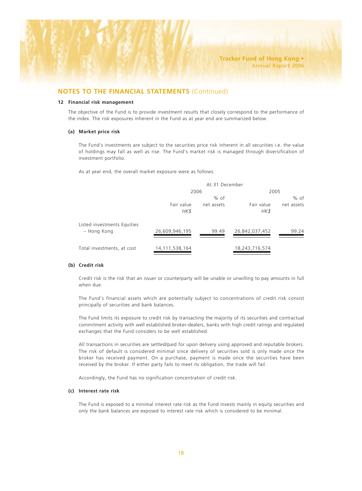#### **12 Financial risk management**

The objective of the Fund is to provide investment results that closely correspond to the performance of the index. The risk exposures inherent in the Fund as at year end are summarized below.

#### **(a) Market price risk**

The Fund's investments are subject to the securities price risk inherent in all securities i.e. the value of holdings may fall as well as rise. The Fund's market risk is managed through diversification of investment portfolio.

As at year end, the overall market exposure were as follows:

|                                            | At 31 December     |            |                    |            |
|--------------------------------------------|--------------------|------------|--------------------|------------|
|                                            |                    | 2006       | 2005               |            |
|                                            |                    | % of       |                    | $%$ of     |
|                                            | Fair value<br>HK\$ | net assets | Fair value<br>HK\$ | net assets |
| Listed investments Equities<br>– Hong Kong | 26,609,946,195     | 99.49      | 26,842,037,452     | 99.24      |
| Total investments, at cost                 | 14, 111, 538, 164  |            | 18,243,716,574     |            |

#### **(b) Credit risk**

Credit risk is the risk that an issuer or counterparty will be unable or unwilling to pay amounts in full when due.

The Fund's financial assets which are potentially subject to concentrations of credit risk consist principally of securities and bank balances.

The Fund limits its exposure to credit risk by transacting the majority of its securities and contractual commitment activity with well established broker-dealers, banks with high credit ratings and regulated exchanges that the Fund considers to be well established.

All transactions in securities are settled/paid for upon delivery using approved and reputable brokers. The risk of default is considered minimal since delivery of securities sold is only made once the broker has received payment. On a purchase, payment is made once the securities have been received by the broker. If either party fails to meet its obligation, the trade will fail.

Accordingly, the Fund has no signification concentration of credit risk.

#### **(c) Interest rate risk**

The Fund is exposed to a minimal interest rate risk as the Fund invests mainly in equity securities and only the bank balances are exposed to interest rate risk which is considered to be minimal.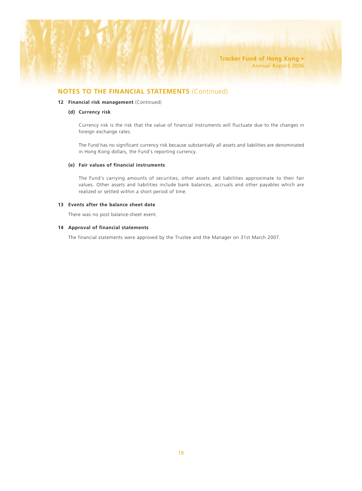#### **12 Financial risk management** (Continued)

#### **(d) Currency risk**

Currency risk is the risk that the value of financial instruments will fluctuate due to the changes in foreign exchange rates.

The Fund has no significant currency risk because substantially all assets and liabilities are denominated in Hong Kong dollars, the Fund's reporting currency.

#### **(e) Fair values of financial instruments**

The Fund's carrying amounts of securities, other assets and liabilities approximate to their fair values. Other assets and liabilities include bank balances, accruals and other payables which are realized or settled within a short period of time.

#### **13 Events after the balance sheet date**

There was no post balance-sheet event.

#### **14 Approval of financial statements**

The financial statements were approved by the Trustee and the Manager on 31st March 2007.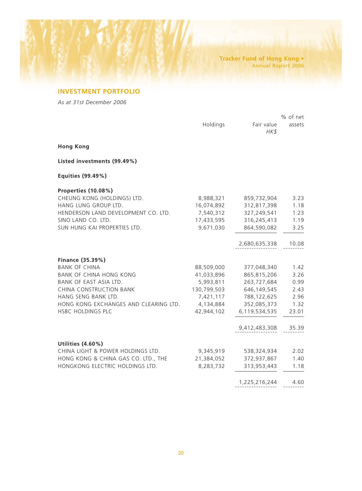## **INVESTMENT PORTFOLIO**

*As at 31st December 2006*

|                                       |             |                    | % of net |
|---------------------------------------|-------------|--------------------|----------|
|                                       | Holdings    | Fair value<br>HK\$ | assets   |
| <b>Hong Kong</b>                      |             |                    |          |
| Listed investments (99.49%)           |             |                    |          |
| Equities (99.49%)                     |             |                    |          |
| Properties (10.08%)                   |             |                    |          |
| CHEUNG KONG (HOLDINGS) LTD.           | 8,988,321   | 859,732,904        | 3.23     |
| HANG LUNG GROUP LTD.                  | 16,074,892  | 312,817,398        | 1.18     |
| HENDERSON LAND DEVELOPMENT CO. LTD.   | 7,540,312   | 327,249,541        | 1.23     |
| SINO LAND CO. LTD.                    | 17,433,595  | 316,245,413        | 1.19     |
| SUN HUNG KAI PROPERTIES LTD.          | 9,671,030   | 864,590,082        | 3.25     |
|                                       |             | 2,680,635,338      | 10.08    |
| Finance (35.39%)                      |             |                    |          |
| <b>BANK OF CHINA</b>                  | 88,509,000  | 377,048,340        | 1.42     |
| <b>BANK OF CHINA HONG KONG</b>        | 41,033,896  | 865,815,206        | 3.26     |
| BANK OF EAST ASIA LTD.                | 5,993,811   | 263,727,684        | 0.99     |
| CHINA CONSTRUCTION BANK               | 130,799,503 | 646,149,545        | 2.43     |
| HANG SENG BANK LTD.                   | 7,421,117   | 788,122,625        | 2.96     |
| HONG KONG EXCHANGES AND CLEARING LTD. | 4,134,884   | 352,085,373        | 1.32     |
| HSBC HOLDINGS PLC                     | 42,944,102  | 6,119,534,535      | 23.01    |
|                                       |             | 9,412,483,308      | 35.39    |
| Utilities (4.60%)                     |             |                    |          |
| CHINA LIGHT & POWER HOLDINGS LTD.     | 9,345,919   | 538,324,934        | 2.02     |
| HONG KONG & CHINA GAS CO. LTD., THE   | 21,384,052  | 372,937,867        | 1.40     |
| HONGKONG ELECTRIC HOLDINGS LTD.       | 8,283,732   | 313,953,443        | 1.18     |
|                                       |             | 1,225,216,244      | 4.60     |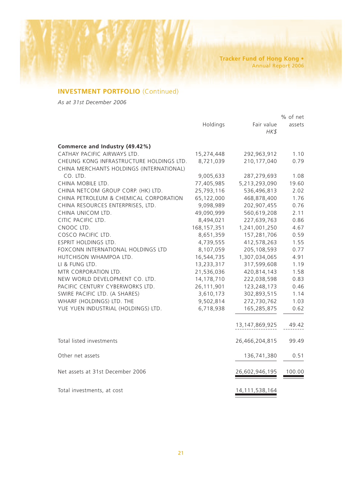## **INVESTMENT PORTFOLIO** (Continued)

*As at 31st December 2006*

|                                          |               |                   | % of net |
|------------------------------------------|---------------|-------------------|----------|
|                                          | Holdings      | Fair value        | assets   |
|                                          |               | HK\$              |          |
|                                          |               |                   |          |
| Commerce and Industry (49.42%)           |               |                   |          |
| CATHAY PACIFIC AIRWAYS LTD.              | 15,274,448    | 292,963,912       | 1.10     |
| CHEUNG KONG INFRASTRUCTURE HOLDINGS LTD. | 8,721,039     | 210,177,040       | 0.79     |
| CHINA MERCHANTS HOLDINGS (INTERNATIONAL) |               |                   |          |
| CO. LTD.                                 | 9,005,633     | 287,279,693       | 1.08     |
| CHINA MOBILE LTD.                        | 77,405,985    | 5,213,293,090     | 19.60    |
| CHINA NETCOM GROUP CORP. (HK) LTD.       | 25,793,116    | 536,496,813       | 2.02     |
| CHINA PETROLEUM & CHEMICAL CORPORATION   | 65,122,000    | 468,878,400       | 1.76     |
| CHINA RESOURCES ENTERPRISES, LTD.        | 9,098,989     | 202,907,455       | 0.76     |
| CHINA UNICOM LTD.                        | 49,090,999    | 560,619,208       | 2.11     |
| CITIC PACIFIC LTD.                       | 8,494,021     | 227,639,763       | 0.86     |
| CNOOC LTD.                               | 168, 157, 351 | 1,241,001,250     | 4.67     |
| COSCO PACIFIC LTD.                       | 8,651,359     | 157,281,706       | 0.59     |
| <b>ESPRIT HOLDINGS LTD.</b>              | 4,739,555     | 412,578,263       | 1.55     |
| FOXCONN INTERNATIONAL HOLDINGS LTD       | 8,107,059     | 205,108,593       | 0.77     |
| HUTCHISON WHAMPOA LTD.                   | 16,544,735    | 1,307,034,065     | 4.91     |
| LI & FUNG LTD.                           | 13,233,317    | 317,599,608       | 1.19     |
| MTR CORPORATION LTD.                     | 21,536,036    | 420,814,143       | 1.58     |
| NEW WORLD DEVELOPMENT CO. LTD.           | 14,178,710    | 222,038,598       | 0.83     |
| PACIFIC CENTURY CYBERWORKS LTD.          | 26,111,901    | 123,248,173       | 0.46     |
| SWIRE PACIFIC LTD. (A SHARES)            | 3,610,173     | 302,893,515       | 1.14     |
| WHARF (HOLDINGS) LTD. THE                | 9,502,814     | 272,730,762       | 1.03     |
| YUE YUEN INDUSTRIAL (HOLDINGS) LTD.      | 6,718,938     | 165,285,875       | 0.62     |
|                                          |               |                   |          |
|                                          |               | 13, 147, 869, 925 | 49.42    |
|                                          |               |                   |          |
| Total listed investments                 |               | 26,466,204,815    | 99.49    |
|                                          |               |                   |          |
| Other net assets                         |               | 136,741,380       | 0.51     |
|                                          |               |                   |          |
| Net assets at 31st December 2006         |               | 26,602,946,195    | 100.00   |
|                                          |               |                   |          |
|                                          |               |                   |          |
| Total investments, at cost               |               | 14, 111, 538, 164 |          |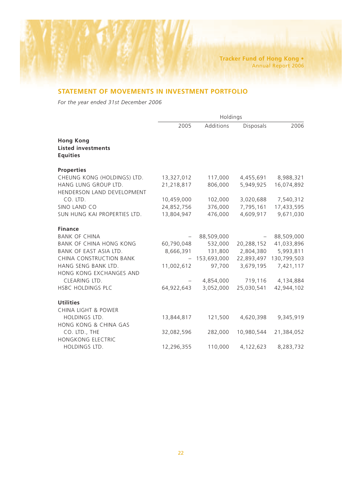## **STATEMENT OF MOVEMENTS IN INVESTMENT PORTFOLIO**

*For the year ended 31st December 2006*

|                                                                  | Holdings   |             |                  |             |
|------------------------------------------------------------------|------------|-------------|------------------|-------------|
|                                                                  | 2005       | Additions   | <b>Disposals</b> | 2006        |
| <b>Hong Kong</b><br><b>Listed investments</b><br><b>Equities</b> |            |             |                  |             |
| <b>Properties</b>                                                |            |             |                  |             |
| CHEUNG KONG (HOLDINGS) LTD.                                      | 13,327,012 | 117,000     | 4,455,691        | 8,988,321   |
| HANG LUNG GROUP LTD.<br>HENDERSON LAND DEVELOPMENT               | 21,218,817 | 806,000     | 5,949,925        | 16,074,892  |
| CO. LTD.                                                         | 10,459,000 | 102,000     | 3,020,688        | 7,540,312   |
| SINO LAND CO                                                     | 24,852,756 | 376,000     | 7,795,161        | 17,433,595  |
| SUN HUNG KAI PROPERTIES LTD.                                     | 13,804,947 | 476,000     | 4,609,917        | 9,671,030   |
| <b>Finance</b>                                                   |            |             |                  |             |
| <b>BANK OF CHINA</b>                                             |            | 88,509,000  |                  | 88,509,000  |
| <b>BANK OF CHINA HONG KONG</b>                                   | 60,790,048 | 532,000     | 20,288,152       | 41,033,896  |
| BANK OF EAST ASIA LTD.                                           | 8,666,391  | 131,800     | 2,804,380        | 5,993,811   |
| CHINA CONSTRUCTION BANK                                          |            | 153,693,000 | 22,893,497       | 130,799,503 |
| HANG SENG BANK LTD.<br>HONG KONG EXCHANGES AND                   | 11,002,612 | 97,700      | 3,679,195        | 7,421,117   |
| CLEARING LTD.                                                    |            | 4,854,000   | 719,116          | 4,134,884   |
| HSBC HOLDINGS PLC                                                | 64,922,643 | 3,052,000   | 25,030,541       | 42,944,102  |
| <b>Utilities</b>                                                 |            |             |                  |             |
| <b>CHINA LIGHT &amp; POWER</b>                                   |            |             |                  |             |
| HOLDINGS LTD.                                                    | 13,844,817 | 121,500     | 4,620,398        | 9,345,919   |
| <b>HONG KONG &amp; CHINA GAS</b>                                 |            |             |                  |             |
| CO. LTD., THE                                                    | 32,082,596 | 282,000     | 10,980,544       | 21,384,052  |
| HONGKONG ELECTRIC                                                |            |             |                  |             |
| HOLDINGS LTD.                                                    | 12,296,355 | 110,000     | 4,122,623        | 8,283,732   |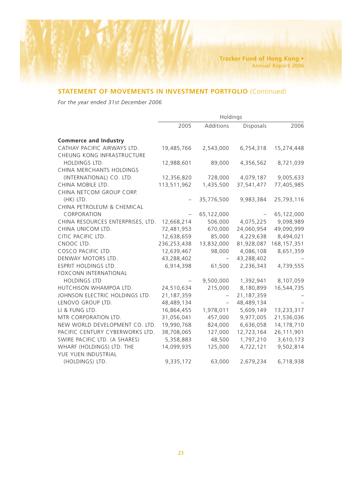## **STATEMENT OF MOVEMENTS IN INVESTMENT PORTFOLIO** (Continued)

*For the year ended 31st December 2006*

|                                   | Holdings    |                          |                  |               |
|-----------------------------------|-------------|--------------------------|------------------|---------------|
|                                   | 2005        | Additions                | <b>Disposals</b> | 2006          |
| <b>Commerce and Industry</b>      |             |                          |                  |               |
| CATHAY PACIFIC AIRWAYS LTD.       | 19,485,766  | 2,543,000                | 6,754,318        | 15,274,448    |
| CHEUNG KONG INFRASTRUCTURE        |             |                          |                  |               |
| HOLDINGS LTD.                     | 12,988,601  | 89,000                   | 4,356,562        | 8,721,039     |
| CHINA MERCHANTS HOLDINGS          |             |                          |                  |               |
| (INTERNATIONAL) CO. LTD.          | 12,356,820  | 728,000                  | 4,079,187        | 9,005,633     |
| CHINA MOBILE LTD.                 | 113,511,962 | 1,435,500                | 37,541,477       | 77,405,985    |
| CHINA NETCOM GROUP CORP.          |             |                          |                  |               |
| (HK) LTD.                         |             | 35,776,500               | 9,983,384        | 25,793,116    |
| CHINA PETROLEUM & CHEMICAL        |             |                          |                  |               |
| CORPORATION                       |             | 65,122,000               |                  | 65,122,000    |
| CHINA RESOURCES ENTERPRISES, LTD. | 12,668,214  | 506,000                  | 4,075,225        | 9,098,989     |
| CHINA UNICOM LTD.                 | 72,481,953  | 670,000                  | 24,060,954       | 49,090,999    |
| CITIC PACIFIC LTD.                | 12,638,659  | 85,000                   | 4,229,638        | 8,494,021     |
| CNOOC LTD.                        | 236,253,438 | 13,832,000               | 81,928,087       | 168, 157, 351 |
| COSCO PACIFIC LTD.                | 12,639,467  | 98,000                   | 4,086,108        | 8,651,359     |
| DENWAY MOTORS LTD.                | 43,288,402  | $\overline{\phantom{0}}$ | 43,288,402       |               |
| ESPRIT HOLDINGS LTD.              | 6,914,398   | 61,500                   | 2,236,343        | 4,739,555     |
| <b>FOXCONN INTERNATIONAL</b>      |             |                          |                  |               |
| <b>HOLDINGS LTD</b>               |             | 9,500,000                | 1,392,941        | 8,107,059     |
| HUTCHISON WHAMPOA LTD.            | 24,510,634  | 215,000                  | 8,180,899        | 16,544,735    |
| JOHNSON ELECTRIC HOLDINGS LTD.    | 21,187,359  |                          | 21,187,359       |               |
| LENOVO GROUP LTD.                 | 48,489,134  | $\overline{\phantom{0}}$ | 48,489,134       |               |
| LI & FUNG LTD.                    | 16,864,455  | 1,978,011                | 5,609,149        | 13,233,317    |
| MTR CORPORATION LTD.              | 31,056,041  | 457,000                  | 9,977,005        | 21,536,036    |
| NEW WORLD DEVELOPMENT CO. LTD.    | 19,990,768  | 824,000                  | 6,636,058        | 14,178,710    |
| PACIFIC CENTURY CYBERWORKS LTD.   | 38,708,065  | 127,000                  | 12,723,164       | 26,111,901    |
| SWIRE PACIFIC LTD. (A SHARES)     | 5,358,883   | 48,500                   | 1,797,210        | 3,610,173     |
| WHARF (HOLDINGS) LTD. THE         | 14,099,935  | 125,000                  | 4,722,121        | 9,502,814     |
| YUE YUEN INDUSTRIAL               |             |                          |                  |               |
| (HOLDINGS) LTD.                   | 9,335,172   | 63,000                   | 2,679,234        | 6,718,938     |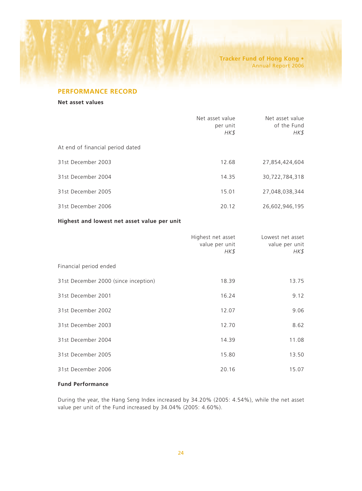## **PERFORMANCE RECORD**

**Net asset values**

|                                             | Net asset value<br>per unit<br>HK\$ | Net asset value<br>of the Fund<br>HK\$ |  |
|---------------------------------------------|-------------------------------------|----------------------------------------|--|
| At end of financial period dated            |                                     |                                        |  |
| 31st December 2003                          | 12.68                               | 27,854,424,604                         |  |
| 31st December 2004                          | 14.35                               | 30,722,784,318                         |  |
| 31st December 2005                          | 15.01                               | 27,048,038,344                         |  |
| 31st December 2006                          | 20.12                               | 26,602,946,195                         |  |
| Highest and lowest net asset value per unit |                                     |                                        |  |

|                                      | Highest net asset<br>value per unit<br>HK\$ | Lowest net asset<br>value per unit<br>HK\$ |
|--------------------------------------|---------------------------------------------|--------------------------------------------|
| Financial period ended               |                                             |                                            |
| 31st December 2000 (since inception) | 18.39                                       | 13.75                                      |
| 31st December 2001                   | 16.24                                       | 9.12                                       |
| 31st December 2002                   | 12.07                                       | 9.06                                       |
| 31st December 2003                   | 12.70                                       | 8.62                                       |
| 31st December 2004                   | 14.39                                       | 11.08                                      |
| 31st December 2005                   | 15.80                                       | 13.50                                      |
| 31st December 2006                   | 20.16                                       | 15.07                                      |

## **Fund Performance**

During the year, the Hang Seng Index increased by 34.20% (2005: 4.54%), while the net asset value per unit of the Fund increased by 34.04% (2005: 4.60%).